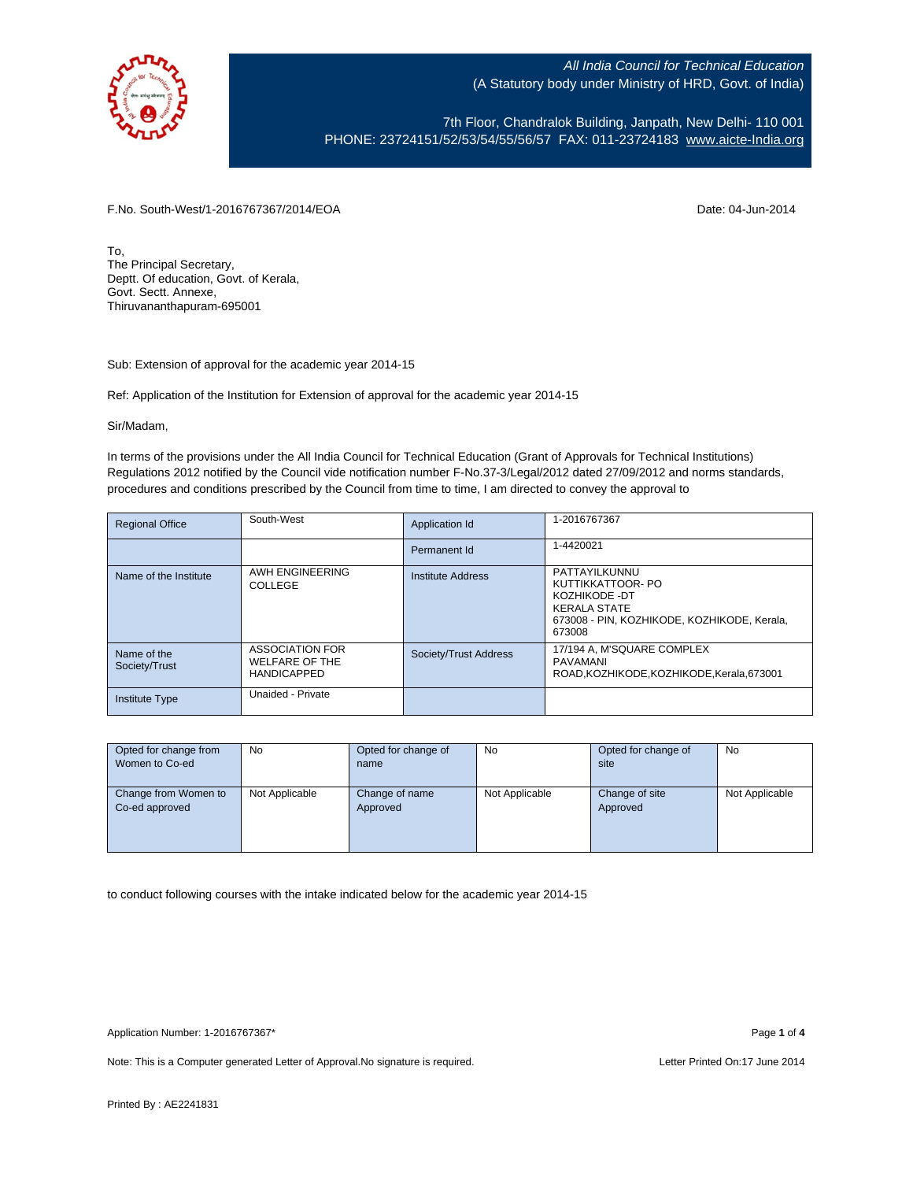

7th Floor, Chandralok Building, Janpath, New Delhi- 110 001 PHONE: 23724151/52/53/54/55/56/57 FAX: 011-23724183 [www.aicte-India.org](http://www.aicte-india.org/)

F.No. South-West/1-2016767367/2014/EOA Date: 04-Jun-2014

To, The Principal Secretary, Deptt. Of education, Govt. of Kerala, Govt. Sectt. Annexe, Thiruvananthapuram-695001

Sub: Extension of approval for the academic year 2014-15

Ref: Application of the Institution for Extension of approval for the academic year 2014-15

Sir/Madam,

In terms of the provisions under the All India Council for Technical Education (Grant of Approvals for Technical Institutions) Regulations 2012 notified by the Council vide notification number F-No.37-3/Legal/2012 dated 27/09/2012 and norms standards, procedures and conditions prescribed by the Council from time to time, I am directed to convey the approval to

| <b>Regional Office</b>       | South-West                                                            | Application Id        | 1-2016767367                                                                                                                        |
|------------------------------|-----------------------------------------------------------------------|-----------------------|-------------------------------------------------------------------------------------------------------------------------------------|
|                              |                                                                       | Permanent Id          | 1-4420021                                                                                                                           |
| Name of the Institute        | AWH ENGINEERING<br>COLLEGE                                            | Institute Address     | PATTAYILKUNNU<br>KUTTIKKATTOOR- PO<br>KOZHIKODE -DT<br><b>KERALA STATE</b><br>673008 - PIN, KOZHIKODE, KOZHIKODE, Kerala,<br>673008 |
| Name of the<br>Society/Trust | <b>ASSOCIATION FOR</b><br><b>WELFARE OF THE</b><br><b>HANDICAPPED</b> | Society/Trust Address | 17/194 A, M'SQUARE COMPLEX<br>PAVAMANI<br>ROAD.KOZHIKODE.KOZHIKODE.Kerala.673001                                                    |
| <b>Institute Type</b>        | Unaided - Private                                                     |                       |                                                                                                                                     |

| Opted for change from | <b>No</b>      | Opted for change of | No             | Opted for change of | No             |
|-----------------------|----------------|---------------------|----------------|---------------------|----------------|
| Women to Co-ed        |                | name                |                | site                |                |
|                       |                |                     |                |                     |                |
| Change from Women to  | Not Applicable | Change of name      | Not Applicable | Change of site      | Not Applicable |
| Co-ed approved        |                | Approved            |                | Approved            |                |
|                       |                |                     |                |                     |                |
|                       |                |                     |                |                     |                |
|                       |                |                     |                |                     |                |

to conduct following courses with the intake indicated below for the academic year 2014-15

Application Number: 1-2016767367\* Page **1** of **4**

Note: This is a Computer generated Letter of Approval. No signature is required. Letter Printed On:17 June 2014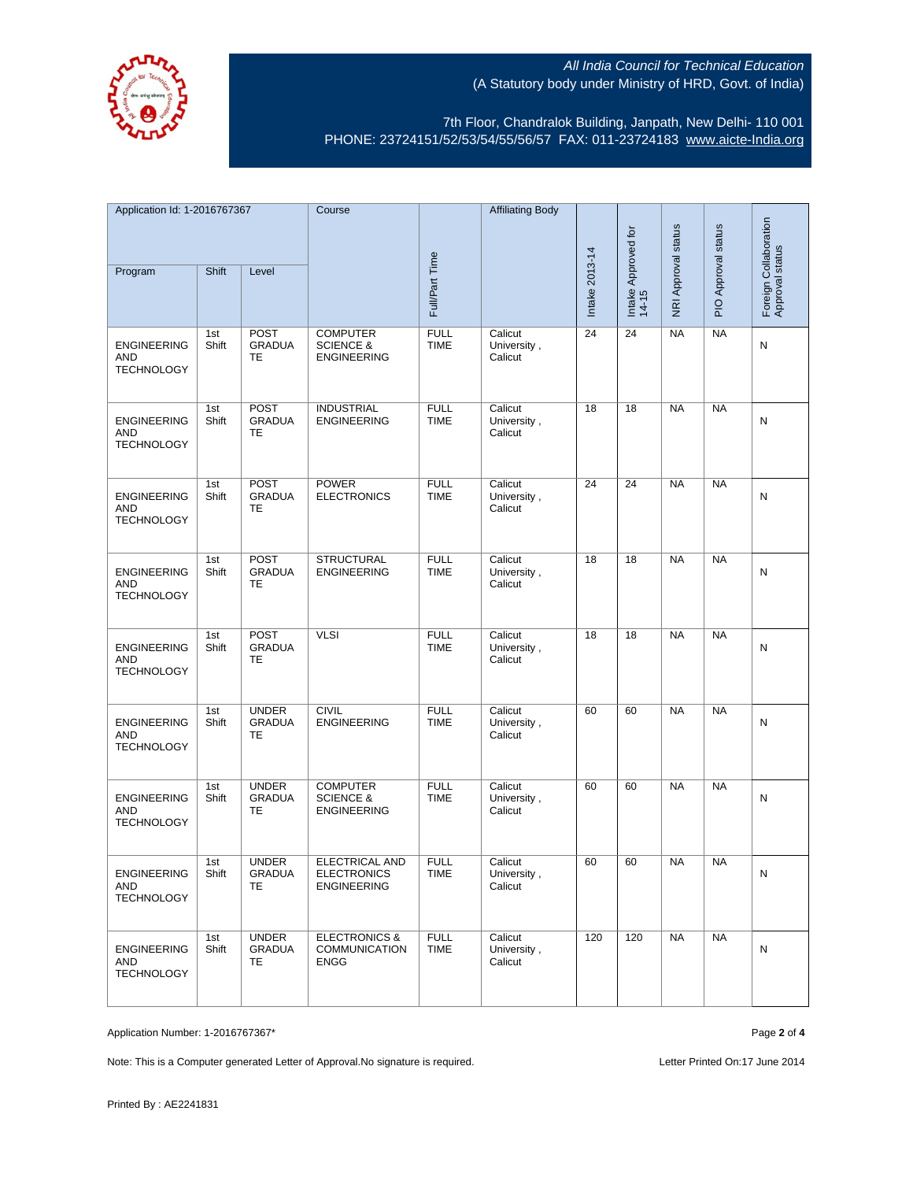

7th Floor, Chandralok Building, Janpath, New Delhi- 110 001 PHONE: 23724151/52/53/54/55/56/57 FAX: 011-23724183 [www.aicte-India.org](http://www.aicte-india.org/)

| Application Id: 1-2016767367                          |              | Course                               |                                                               | <b>Affiliating Body</b>    |                                   |                |                              |                     |                     |                                          |
|-------------------------------------------------------|--------------|--------------------------------------|---------------------------------------------------------------|----------------------------|-----------------------------------|----------------|------------------------------|---------------------|---------------------|------------------------------------------|
| Program                                               | Shift        | Level                                |                                                               | Full/Part Time             |                                   | Intake 2013-14 | Intake Approved for<br>14-15 | NRI Approval status | PIO Approval status | Foreign Collaboration<br>Approval status |
|                                                       |              |                                      |                                                               |                            |                                   |                |                              |                     |                     |                                          |
| <b>ENGINEERING</b><br>AND<br><b>TECHNOLOGY</b>        | 1st<br>Shift | <b>POST</b><br><b>GRADUA</b><br>TE   | <b>COMPUTER</b><br><b>SCIENCE &amp;</b><br><b>ENGINEERING</b> | <b>FULL</b><br><b>TIME</b> | Calicut<br>University,<br>Calicut | 24             | 24                           | NA                  | <b>NA</b>           | N                                        |
| <b>ENGINEERING</b><br>AND<br><b>TECHNOLOGY</b>        | 1st<br>Shift | <b>POST</b><br><b>GRADUA</b><br>TE   | <b>INDUSTRIAL</b><br><b>ENGINEERING</b>                       | <b>FULL</b><br><b>TIME</b> | Calicut<br>University,<br>Calicut | 18             | 18                           | <b>NA</b>           | <b>NA</b>           | N                                        |
| <b>ENGINEERING</b><br><b>AND</b><br><b>TECHNOLOGY</b> | 1st<br>Shift | <b>POST</b><br><b>GRADUA</b><br>TE   | <b>POWER</b><br><b>ELECTRONICS</b>                            | <b>FULL</b><br><b>TIME</b> | Calicut<br>University,<br>Calicut | 24             | 24                           | <b>NA</b>           | <b>NA</b>           | N                                        |
| <b>ENGINEERING</b><br><b>AND</b><br><b>TECHNOLOGY</b> | 1st<br>Shift | <b>POST</b><br><b>GRADUA</b><br>TE   | <b>STRUCTURAL</b><br><b>ENGINEERING</b>                       | <b>FULL</b><br><b>TIME</b> | Calicut<br>University,<br>Calicut | 18             | 18                           | <b>NA</b>           | NA                  | N                                        |
| <b>ENGINEERING</b><br>AND<br><b>TECHNOLOGY</b>        | 1st<br>Shift | POST<br><b>GRADUA</b><br>TE          | <b>VLSI</b>                                                   | <b>FULL</b><br><b>TIME</b> | Calicut<br>University,<br>Calicut | 18             | 18                           | <b>NA</b>           | <b>NA</b>           | N                                        |
| <b>ENGINEERING</b><br>AND<br><b>TECHNOLOGY</b>        | 1st<br>Shift | <b>UNDER</b><br><b>GRADUA</b><br>TE  | <b>CIVIL</b><br><b>ENGINEERING</b>                            | <b>FULL</b><br><b>TIME</b> | Calicut<br>University,<br>Calicut | 60             | 60                           | <b>NA</b>           | <b>NA</b>           | N                                        |
| <b>ENGINEERING</b><br>AND<br><b>TECHNOLOGY</b>        | 1st<br>Shift | <b>UNDER</b><br><b>GRADUA</b><br>TE  | <b>COMPUTER</b><br><b>SCIENCE &amp;</b><br><b>ENGINEERING</b> | <b>FULL</b><br><b>TIME</b> | Calicut<br>University,<br>Calicut | 60             | 60                           | <b>NA</b>           | <b>NA</b>           | N                                        |
| <b>ENGINEERING</b><br>AND<br><b>TECHNOLOGY</b>        | 1st<br>Shift | <b>UNDER</b><br><b>GRADUA</b><br>TE. | ELECTRICAL AND<br><b>ELECTRONICS</b><br><b>ENGINEERING</b>    | <b>FULL</b><br><b>TIME</b> | Calicut<br>University,<br>Calicut | 60             | 60                           | <b>NA</b>           | <b>NA</b>           | N                                        |
| <b>ENGINEERING</b><br>AND<br><b>TECHNOLOGY</b>        | 1st<br>Shift | <b>UNDER</b><br><b>GRADUA</b><br>TE  | <b>ELECTRONICS &amp;</b><br>COMMUNICATION<br><b>ENGG</b>      | <b>FULL</b><br><b>TIME</b> | Calicut<br>University,<br>Calicut | 120            | 120                          | <b>NA</b>           | <b>NA</b>           | N                                        |

Application Number: 1-2016767367\* Page **2** of **4**

Note: This is a Computer generated Letter of Approval. No signature is required. Letter Printed On:17 June 2014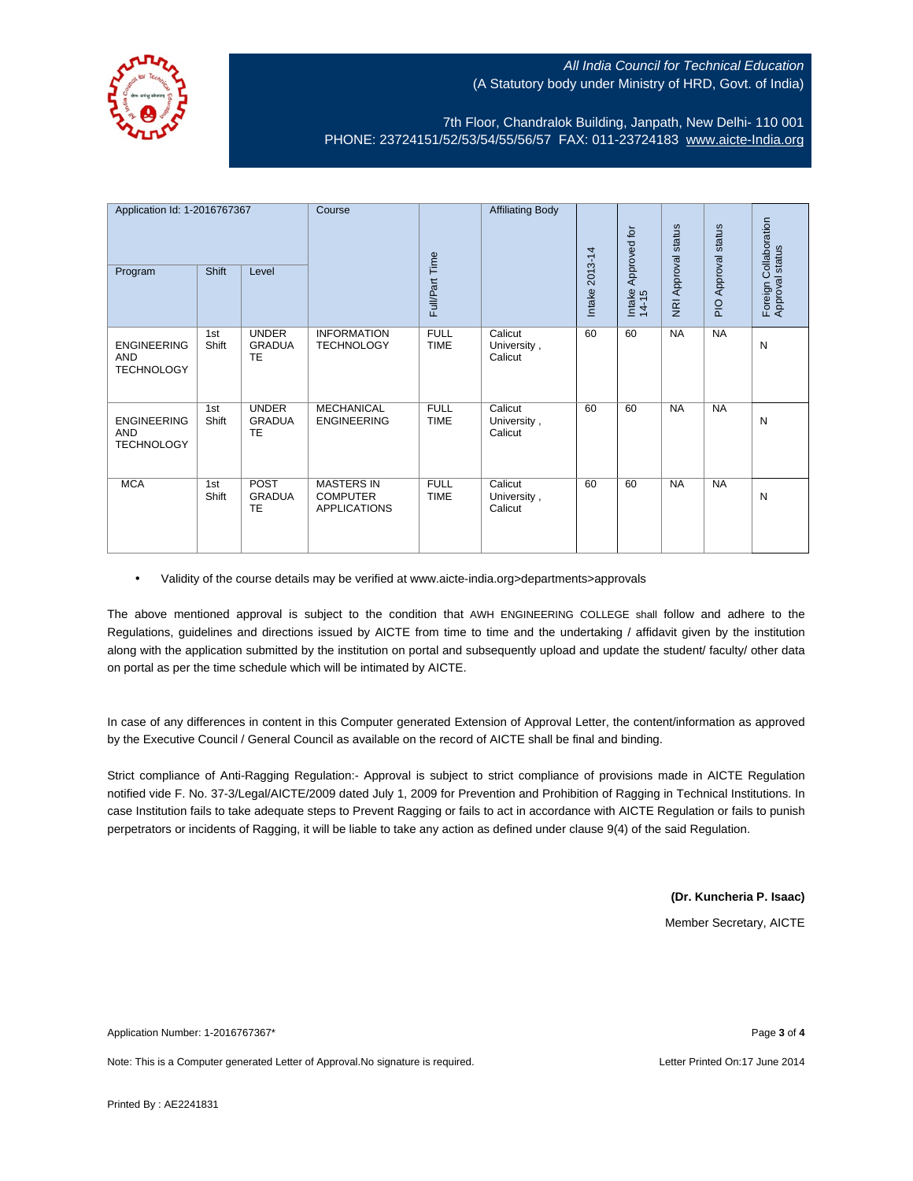

7th Floor, Chandralok Building, Janpath, New Delhi- 110 001 PHONE: 23724151/52/53/54/55/56/57 FAX: 011-23724183 [www.aicte-India.org](http://www.aicte-india.org/)

| Application Id: 1-2016767367<br>Program               | Shift        | Level                                      | Course                                                      | Full/Part Time             | <b>Affiliating Body</b>           | 2013-14<br>Intake | Approved for<br>Intake<br>14-15 | <b>NRI Approval status</b> | PIO Approval status | Foreign Collaboration<br>Approval status |
|-------------------------------------------------------|--------------|--------------------------------------------|-------------------------------------------------------------|----------------------------|-----------------------------------|-------------------|---------------------------------|----------------------------|---------------------|------------------------------------------|
| <b>ENGINEERING</b><br><b>AND</b><br><b>TECHNOLOGY</b> | 1st<br>Shift | <b>UNDER</b><br><b>GRADUA</b><br><b>TE</b> | <b>INFORMATION</b><br><b>TECHNOLOGY</b>                     | <b>FULL</b><br><b>TIME</b> | Calicut<br>University,<br>Calicut | 60                | 60                              | <b>NA</b>                  | <b>NA</b>           | N                                        |
| <b>ENGINEERING</b><br>AND<br><b>TECHNOLOGY</b>        | 1st<br>Shift | <b>UNDER</b><br><b>GRADUA</b><br>TE        | <b>MECHANICAL</b><br><b>ENGINEERING</b>                     | <b>FULL</b><br><b>TIME</b> | Calicut<br>University,<br>Calicut | 60                | 60                              | <b>NA</b>                  | <b>NA</b>           | N                                        |
| <b>MCA</b>                                            | 1st<br>Shift | POST<br><b>GRADUA</b><br>TE                | <b>MASTERS IN</b><br><b>COMPUTER</b><br><b>APPLICATIONS</b> | <b>FULL</b><br><b>TIME</b> | Calicut<br>University,<br>Calicut | 60                | 60                              | <b>NA</b>                  | <b>NA</b>           | N                                        |

• Validity of the course details may be verified at www.aicte-india.org>departments>approvals

The above mentioned approval is subject to the condition that AWH ENGINEERING COLLEGE shall follow and adhere to the Regulations, guidelines and directions issued by AICTE from time to time and the undertaking / affidavit given by the institution along with the application submitted by the institution on portal and subsequently upload and update the student/ faculty/ other data on portal as per the time schedule which will be intimated by AICTE.

In case of any differences in content in this Computer generated Extension of Approval Letter, the content/information as approved by the Executive Council / General Council as available on the record of AICTE shall be final and binding.

Strict compliance of Anti-Ragging Regulation:- Approval is subject to strict compliance of provisions made in AICTE Regulation notified vide F. No. 37-3/Legal/AICTE/2009 dated July 1, 2009 for Prevention and Prohibition of Ragging in Technical Institutions. In case Institution fails to take adequate steps to Prevent Ragging or fails to act in accordance with AICTE Regulation or fails to punish perpetrators or incidents of Ragging, it will be liable to take any action as defined under clause 9(4) of the said Regulation.

**(Dr. Kuncheria P. Isaac)**

Member Secretary, AICTE

Application Number: 1-2016767367\* Page **3** of **4**

Note: This is a Computer generated Letter of Approval.No signature is required. Letter According the state of the United On:17 June 2014